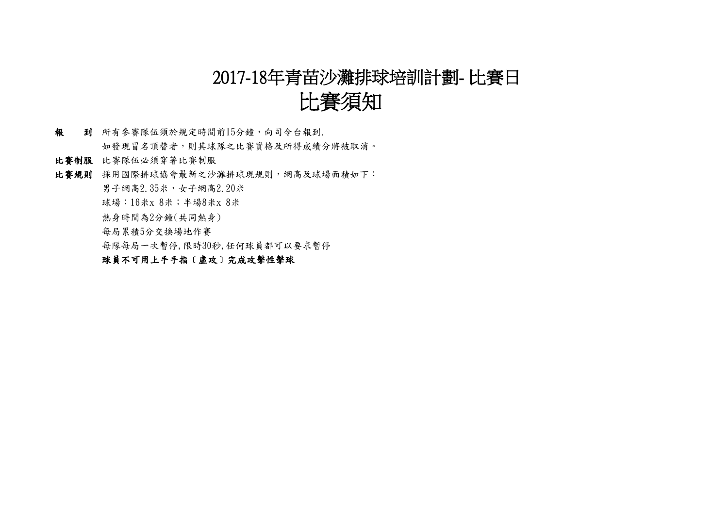## 2017-18年青苗沙灘排球培訓計劃- 比賽日

# 比賽須知

- 報 到 所有參賽隊伍須於規定時間前15分鐘,向司令台報到. 如發現冒名頂替者,則其球隊之比賽資格及所得成績分將被取消。
- 比賽制服 比賽隊伍必須穿著比賽制服
- 比賽規則 採用國際排球協會最新之沙灘排球現規則,網高及球場面積如下:
	- 男子網高2.35米,女子網高2.20米
	- 球場: 16米x 8米; 半場8米x 8米
	- 熱身時間為2分鐘(共同熱身)
	- 每局累積5分交換場地作賽
	- 每隊每局一次暫停,限時30秒,任何球員都可以要求暫停

### 球員不可用上手手指〔虛攻〕完成攻擊性擊球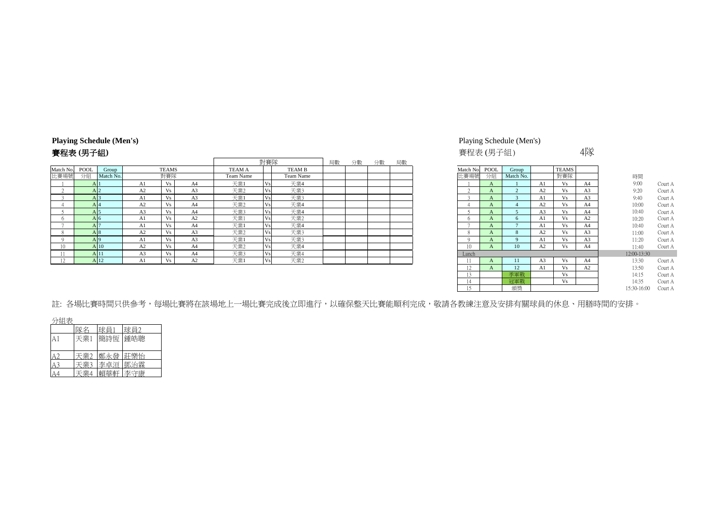### **Playing Schedule (Men's)** Playing Schedule (Men's)

|           |                 |                |              |                |               | 對賽隊        |               | 局數 | 分數 | 分數 | 局數 |           |      |           |              |              |                |                                 |         |
|-----------|-----------------|----------------|--------------|----------------|---------------|------------|---------------|----|----|----|----|-----------|------|-----------|--------------|--------------|----------------|---------------------------------|---------|
| Match No. | POOL<br>Group   |                | <b>TEAMS</b> |                | <b>TEAM A</b> |            | <b>TEAM B</b> |    |    |    |    | Match No. | POOL | Group     |              | <b>TEAMS</b> |                |                                 |         |
| 比賽場號      | 分組<br>Match No. |                | 對賽隊          |                | Team Name     |            | Team Name     |    |    |    |    | 比賽場號      | 分組   | Match No. |              | 對賽隊          |                | 時間                              |         |
|           |                 | A1             |              | A <sub>4</sub> | 天業1           |            | 天業4           |    |    |    |    |           |      |           |              |              | A4             | 9:00                            | Court A |
|           |                 | A <sub>2</sub> |              | A <sub>3</sub> | 天業2           |            | 天業3           |    |    |    |    |           |      |           | A2           | Vs.          | A <sub>3</sub> | 9:20                            | Court A |
|           |                 | A1             |              | A <sub>3</sub> | 天業1           |            | 天業3           |    |    |    |    |           |      |           |              |              | A <sub>3</sub> | 9:40                            | Court A |
|           | A 14            | A <sub>2</sub> |              | A4             | 天業2           |            | 天業4           |    |    |    |    |           |      |           | A2           | Vs           | A <sup>4</sup> | 10:00                           | Court A |
|           |                 | A <sub>3</sub> |              | A4             | 天業3           | v٢         | 天業4           |    |    |    |    |           |      |           |              |              | A4             | 10:40                           | Court A |
|           | A 6             | Al             |              | A2             | 天業1           | $\sqrt{6}$ | 天業2           |    |    |    |    |           |      |           | Al           | Vs           | A2             | 10:20                           | Court A |
|           |                 | A1             | Vs           | A4             | 天業1           | $V_{S}$    | 天業4           |    |    |    |    |           |      |           | A1           | Vs           | A4             | 10:40                           | Court A |
|           | A I 8.          | A2             |              | A <sub>3</sub> | 天業2           |            | 天業3           |    |    |    |    |           |      |           | A2           | Vs           | A <sub>3</sub> | 11:00                           | Court A |
|           |                 | Al             | Vs           | A <sub>3</sub> | 天業1           | Vs         | 天業3           |    |    |    |    |           |      |           |              | Vs           | A <sub>3</sub> | 11:20                           | Court A |
| 10        | A 10            | A2             |              | A4             | 天業2           |            | 天業4           |    |    |    |    | 10        |      | 10        | $\sim$<br>AZ | Vs.          | A4             | 11:40                           | Court A |
|           | A 11            | A <sub>3</sub> |              | A <sub>4</sub> | 天業3           | Vs.        | 天業4           |    |    |    |    | Lunch     |      |           |              |              |                | 12:00-13:30                     |         |
|           |                 | Al             |              | A2             | 天業            |            | 天業2           |    |    |    |    | -11       |      | 11        |              | Vs           | A4             | 13:30                           | Court A |
|           |                 |                |              |                |               |            |               |    |    |    |    |           |      |           |              |              |                | the contract of the contract of |         |

# **賽程表 (男子組)** インタン・コントリング (男子組) インタン・コントリング (男子組) インタン・コントリング (男子組) インタン・コントリング (男子組) インタン・コントリング (男子組) インタン・コントリング

| Match No.                | <b>POOL</b>  | Group          |                | <b>TEAMS</b> |                |             |         |
|--------------------------|--------------|----------------|----------------|--------------|----------------|-------------|---------|
| 比賽場號                     | 分組           | Match No.      |                | 對賽隊          |                | 時間          |         |
|                          | A            |                | A1             | Vs           | A <sub>4</sub> | 9:00        | Court A |
| $\overline{\mathcal{L}}$ | A            | $\overline{2}$ | A <sub>2</sub> | Vs           | A <sub>3</sub> | 9:20        | Court A |
| 3                        | A            | 3              | A1             | Vs           | A <sub>3</sub> | 9:40        | Court A |
| 4                        | A            | $\overline{4}$ | A <sub>2</sub> | Vs           | A <sub>4</sub> | 10:00       | Court A |
| 5                        | A            | 5              | A3             | Vs           | A4             | 10:40       | Court A |
| 6                        | A            | 6              | A1             | Vs           | A2             | 10:20       | Court A |
| 7                        | A            | $\overline{7}$ | A1             | Vs           | A4             | 10:40       | Court A |
| 8                        | $\mathbf{A}$ | 8              | A <sub>2</sub> | Vs           | A <sub>3</sub> | 11:00       | Court A |
| 9                        | $\mathbf{A}$ | 9              | A1             | Vs           | A <sub>3</sub> | 11:20       | Court A |
| 10                       | $\mathbf{A}$ | 10             | A2             | Vs           | A4             | 11:40       | Court A |
| Lunch                    |              |                |                |              |                | 12:00-13:30 |         |
| 11                       | A            | 11             | A3             | Vs           | A <sub>4</sub> | 13:30       | Court A |
| 12                       | A            | 12             | A1             | Vs           | A2             | 13:50       | Court A |
| 13                       |              | 季軍戰            |                | Vs           |                | 14:15       | Court A |
| 14                       |              | 冠軍戰            |                | Vs           |                | 14:35       | Court A |
| 15                       |              | 頒獎             |                |              |                | 15:30-16:00 | Court A |

註: 各場比賽時間只供參考,每場比賽將在該場地上一場比賽完成後立即進行,以確保整天比賽能順利完成,敬請各教練注意及安排有關球員的休息、用膳時間的安排。

分組表

|     | 球員1     | 球員2 |
|-----|---------|-----|
| 天業1 | 簡詩恆 鍾皓聰 |     |
|     |         |     |
| 天業2 | 鄭永發     | 莊樂怡 |
| -業1 | 李卓洹     | 鄧治霖 |